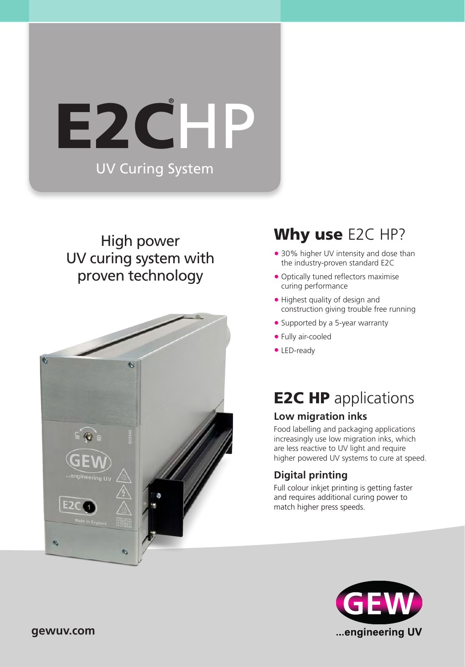# UV Curing System E2CHP **®**

### High power UV curing system with proven technology



## Why use E2C HP?

- **•** 30% higher UV intensity and dose than the industry-proven standard E2C
- **•** Optically tuned reflectors maximise curing performance
- **•** Highest quality of design and construction giving trouble free running
- **•** Supported by a 5-year warranty
- **•** Fully air-cooled
- **•** LED-ready

# **E2C HP** applications

### **Low migration inks**

Food labelling and packaging applications increasingly use low migration inks, which are less reactive to UV light and require higher powered UV systems to cure at speed.

### **Digital printing**

Full colour inkjet printing is getting faster and requires additional curing power to match higher press speeds.